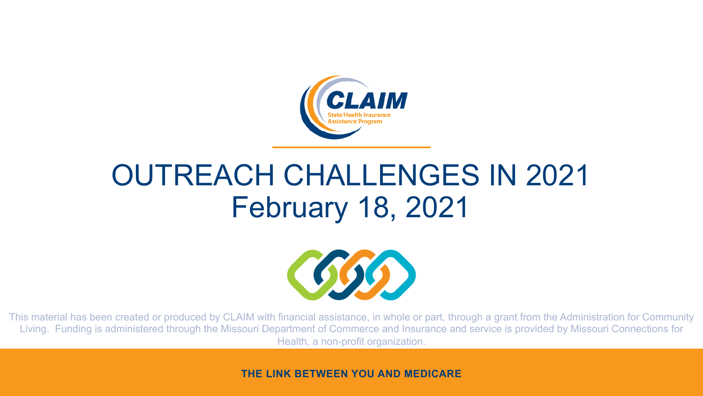

#### OUTREACH CHALLENGES IN 2021 February 18, 2021



This material has been created or produced by CLAIM with financial assistance, in whole or part, through a grant from the Administration for Community Living. Funding is administered through the Missouri Department of Commerce and Insurance and service is provided by Missouri Connections for Health, a non-profit organization.

**THE LINK BETWEEN YOU AND MEDICARE**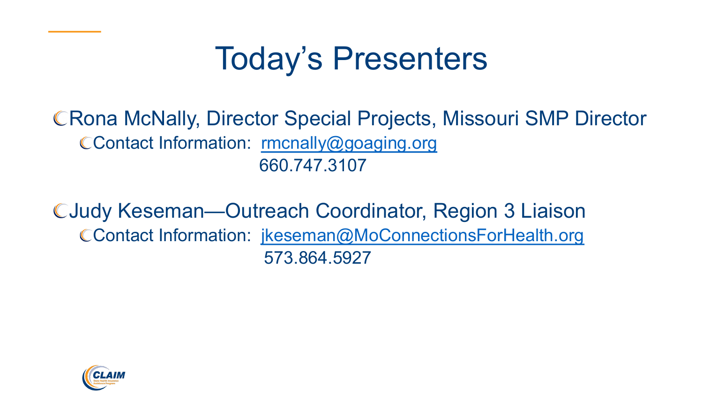# **Today's Presente**

CRona McNally, Director Special Projects, M CContact Information: rmcnally@goaging.org 660.747.3107

CJudy Keseman-Outreach Coordinator, R CContact Information: jkeseman@MoConnectionsFormations 573.864.5927

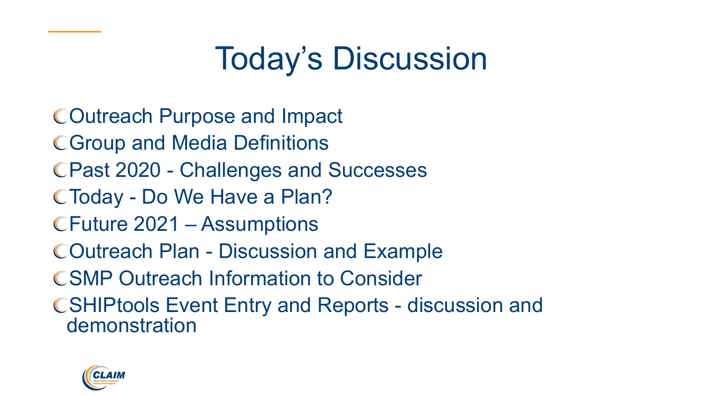## Today's Discussion

Outreach Purpose and Impact Group and Media Definitions Past 2020 - Challenges and Successes Today - Do We Have a Plan? Future 2021 – Assumptions Outreach Plan - Discussion and Example **CSMP Outreach Information to Consider** SHIPtools Event Entry and Reports - discussion and demonstration

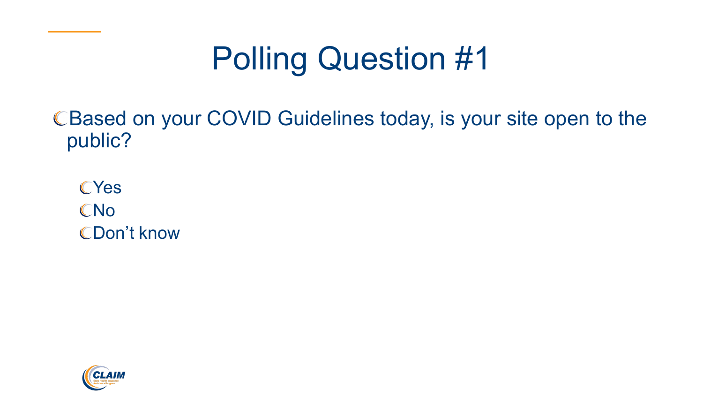## Polling Question #1

CBased on your COVID Guidelines today, is your site open to the public?

**CYes** CNo CDon't know

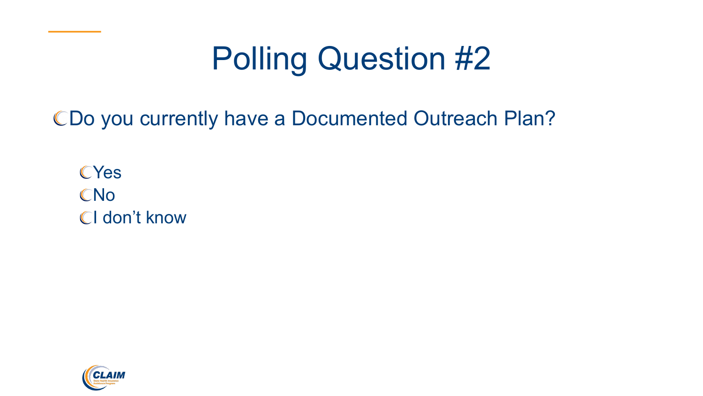## Polling Question #2

CDo you currently have a Documented Outreach Plan?

**CYes** CNo CI don't know

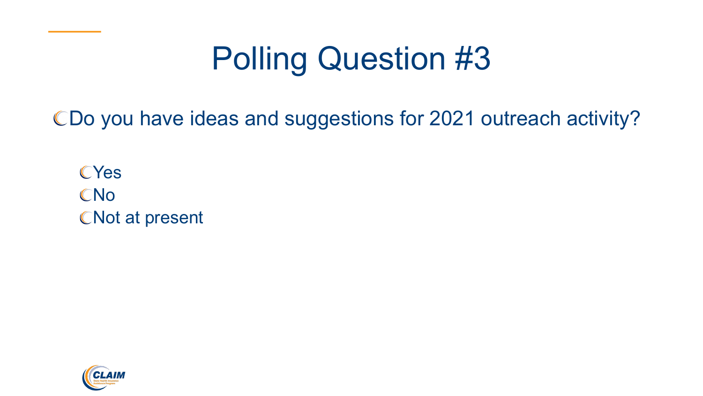## Polling Question #3

CDo you have ideas and suggestions for 2021 outreach activity?

**CYes** CNo CNot at present

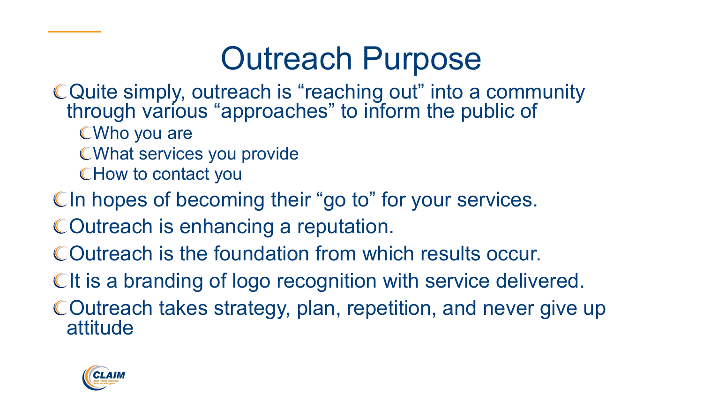#### Outreach Purpose

- Quite simply, outreach is "reaching out" into a community through various "approaches" to inform the public of
	- Who you are
	- What services you provide
	- How to contact you
- CIn hopes of becoming their "go to" for your services.
- COutreach is enhancing a reputation.
- Outreach is the foundation from which results occur.
- CIt is a branding of logo recognition with service delivered.
- COutreach takes strategy, plan, repetition, and never give up attitude

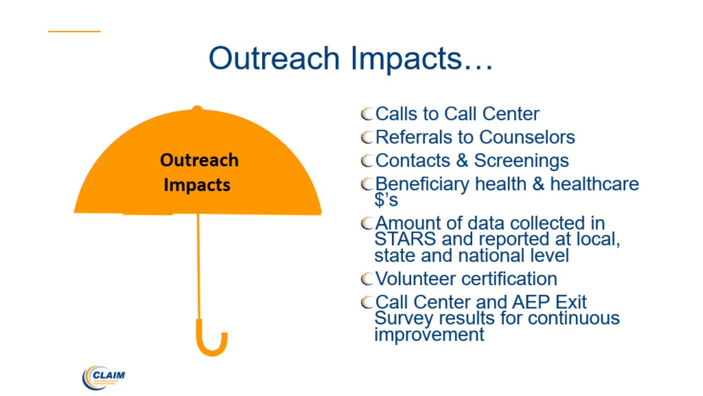#### Outreach Impacts...



**CCalls to Call Center CReferrals to Counselors CContacts & Screenings** CBeneficiary health & healthcare

- \$'s
- CAmount of data collected in STARS and reported at local,<br>state and national level
- CVolunteer certification
- **CCall Center and AEP Exit** Survey results for continuous improvement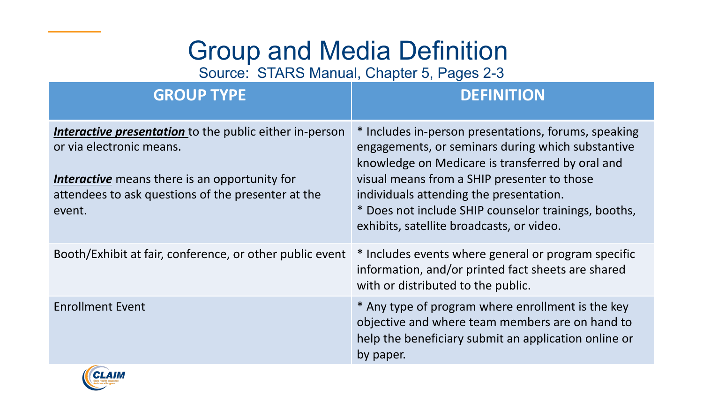#### Group and Media Definition

Source: STARS Manual, Chapter 5, Pages 2-3

| <b>GROUP TYPE</b>                                                                                                                                                                                           | <b>DEFINITION</b>                                                                                                                                                                                                                                                                                                                                            |
|-------------------------------------------------------------------------------------------------------------------------------------------------------------------------------------------------------------|--------------------------------------------------------------------------------------------------------------------------------------------------------------------------------------------------------------------------------------------------------------------------------------------------------------------------------------------------------------|
| Interactive presentation to the public either in-person<br>or via electronic means.<br><b>Interactive</b> means there is an opportunity for<br>attendees to ask questions of the presenter at the<br>event. | * Includes in-person presentations, forums, speaking<br>engagements, or seminars during which substantive<br>knowledge on Medicare is transferred by oral and<br>visual means from a SHIP presenter to those<br>individuals attending the presentation.<br>* Does not include SHIP counselor trainings, booths,<br>exhibits, satellite broadcasts, or video. |
| Booth/Exhibit at fair, conference, or other public event                                                                                                                                                    | * Includes events where general or program specific<br>information, and/or printed fact sheets are shared<br>with or distributed to the public.                                                                                                                                                                                                              |
| <b>Enrollment Event</b>                                                                                                                                                                                     | * Any type of program where enrollment is the key<br>objective and where team members are on hand to<br>help the beneficiary submit an application online or<br>by paper.                                                                                                                                                                                    |

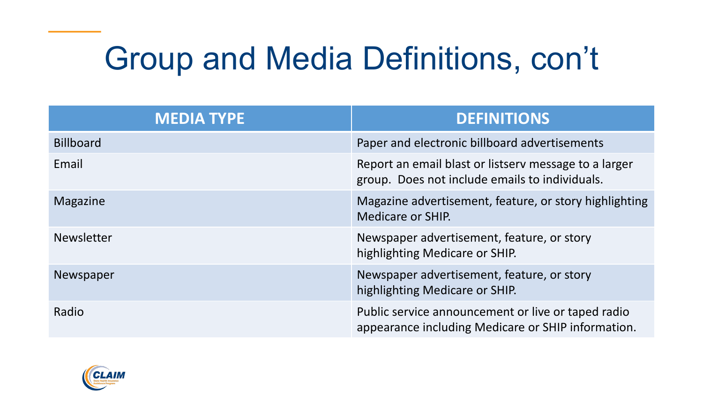## Group and Media Definitions, con't

| <b>MEDIA TYPE</b> | <b>DEFINITIONS</b>                                                                                       |  |
|-------------------|----------------------------------------------------------------------------------------------------------|--|
| <b>Billboard</b>  | Paper and electronic billboard advertisements                                                            |  |
| Email             | Report an email blast or listsery message to a larger<br>group. Does not include emails to individuals.  |  |
| Magazine          | Magazine advertisement, feature, or story highlighting<br>Medicare or SHIP.                              |  |
| <b>Newsletter</b> | Newspaper advertisement, feature, or story<br>highlighting Medicare or SHIP.                             |  |
| Newspaper         | Newspaper advertisement, feature, or story<br>highlighting Medicare or SHIP.                             |  |
| Radio             | Public service announcement or live or taped radio<br>appearance including Medicare or SHIP information. |  |

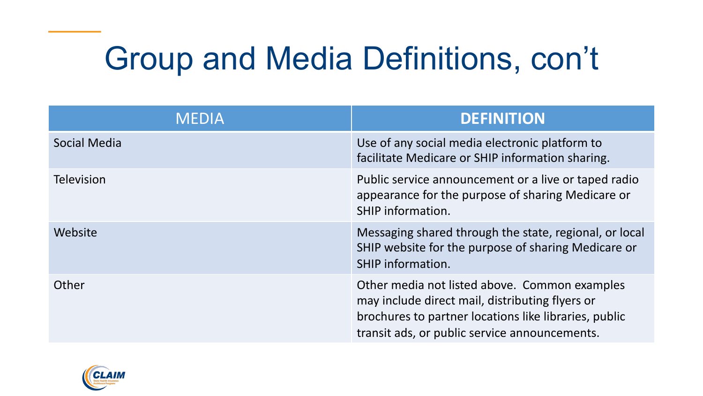## Group and Media Definitions, con't

| <b>MEDIA</b>        | <b>DEFINITION</b>                                                                                                                                                                                          |
|---------------------|------------------------------------------------------------------------------------------------------------------------------------------------------------------------------------------------------------|
| <b>Social Media</b> | Use of any social media electronic platform to<br>facilitate Medicare or SHIP information sharing.                                                                                                         |
| <b>Television</b>   | Public service announcement or a live or taped radio<br>appearance for the purpose of sharing Medicare or<br>SHIP information.                                                                             |
| Website             | Messaging shared through the state, regional, or local<br>SHIP website for the purpose of sharing Medicare or<br>SHIP information.                                                                         |
| Other               | Other media not listed above. Common examples<br>may include direct mail, distributing flyers or<br>brochures to partner locations like libraries, public<br>transit ads, or public service announcements. |

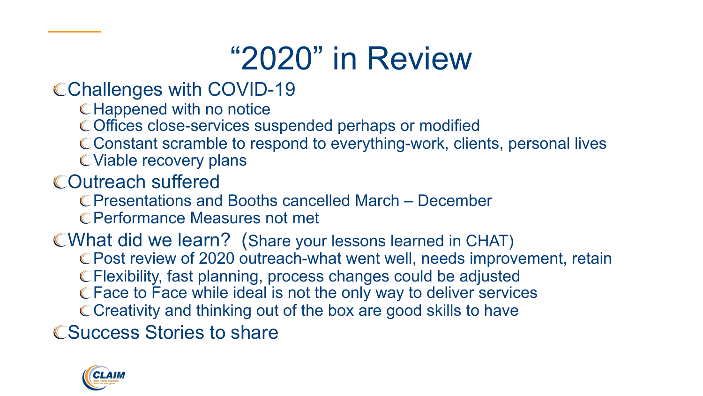### "2020" in Review

#### CChallenges with COVID-19

- **CHappened with no notice**
- Offices close-services suspended perhaps or modified
- Constant scramble to respond to everything-work, clients, personal lives
- Viable recovery plans
- Outreach suffered
	- Presentations and Booths cancelled March December
	- Performance Measures not met

#### What did we learn? (Share your lessons learned in CHAT)

- Post review of 2020 outreach-what went well, needs improvement, retain
- Flexibility, fast planning, process changes could be adjusted
- Face to Face while ideal is not the only way to deliver services
- C Creativity and thinking out of the box are good skills to have

**CSuccess Stories to share** 

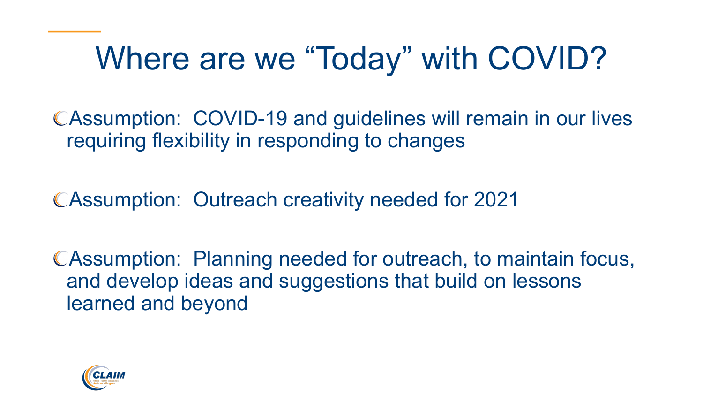### Where are we "Today" with COVID?

Assumption: COVID-19 and guidelines will remain in our lives requiring flexibility in responding to changes

Assumption: Outreach creativity needed for 2021

Assumption: Planning needed for outreach, to maintain focus, and develop ideas and suggestions that build on lessons learned and beyond

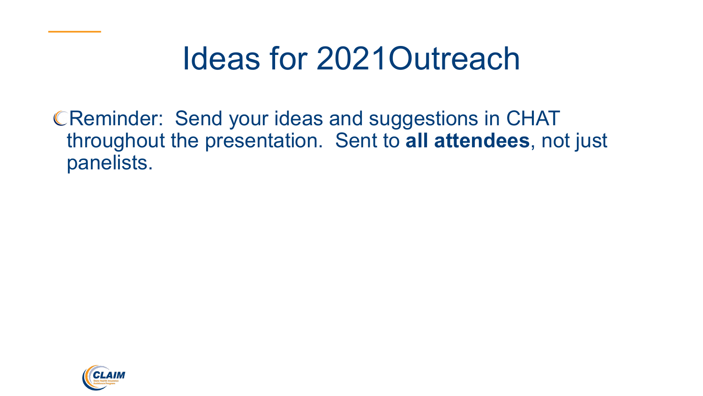### Ideas for 2021Outreach

CReminder: Send your ideas and suggestions in CHAT throughout the presentation. Sent to **all attendees**, not just panelists.

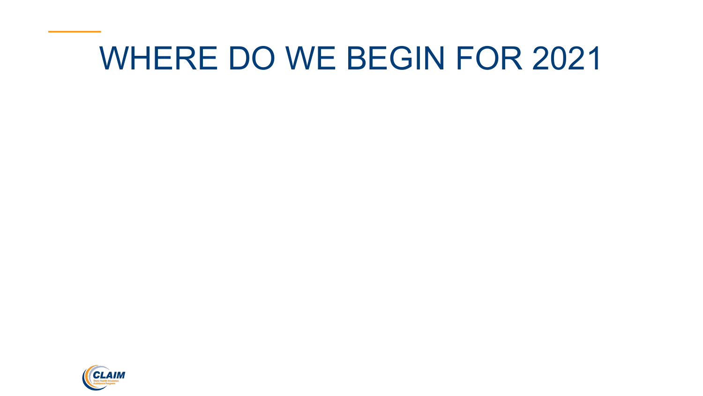#### WHERE DO WE BEGIN FOR 2021

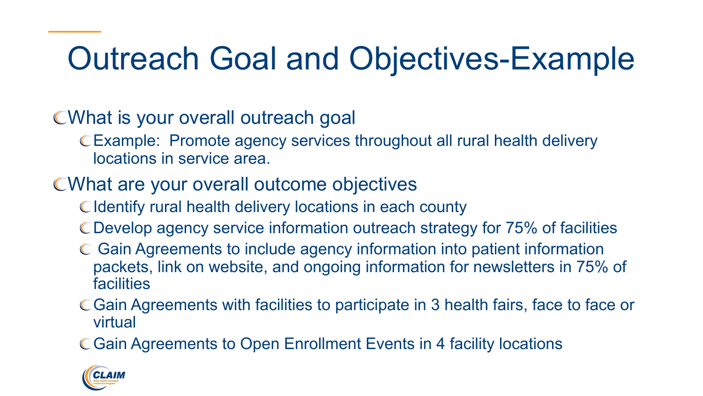## Outreach Goal and Objectives-Example

#### What is your overall outreach goal

Example: Promote agency services throughout all rural health delivery locations in service area.

#### What are your overall outcome objectives

- C Identify rural health delivery locations in each county
- Develop agency service information outreach strategy for 75% of facilities
- Gain Agreements to include agency information into patient information packets, link on website, and ongoing information for newsletters in 75% of facilities
- Gain Agreements with facilities to participate in 3 health fairs, face to face or virtual
- Gain Agreements to Open Enrollment Events in 4 facility locations

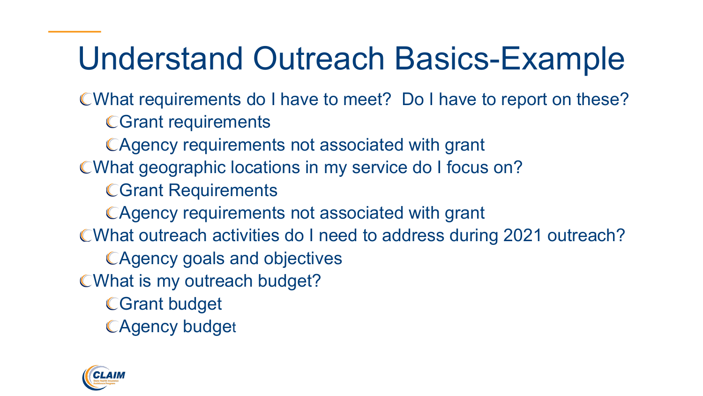## Understand Outreach Basics-Example

What requirements do I have to meet? Do I have to report on these?

**CGrant requirements** 

Agency requirements not associated with grant

What geographic locations in my service do I focus on?

Grant Requirements

Agency requirements not associated with grant

What outreach activities do I need to address during 2021 outreach?

Agency goals and objectives

CWhat is my outreach budget?

Grant budget

**CAgency budget** 

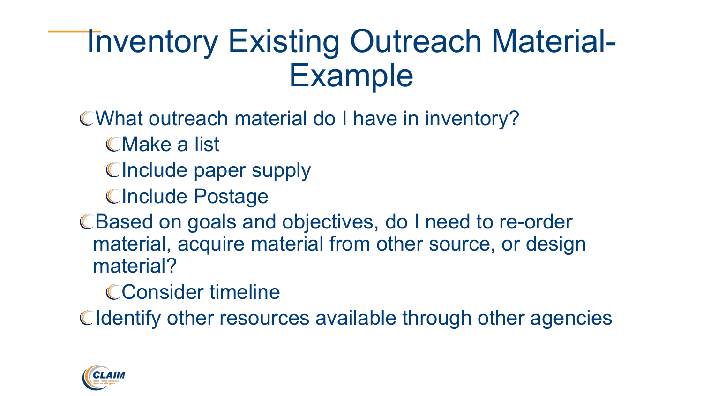### Inventory Existing Outreach Material-Example

- What outreach material do I have in inventory?
	- Make a list
	- CInclude paper supply
	- CInclude Postage
- CBased on goals and objectives, do I need to re-order material, acquire material from other source, or design material?
	- CConsider timeline
- Cldentify other resources available through other agencies

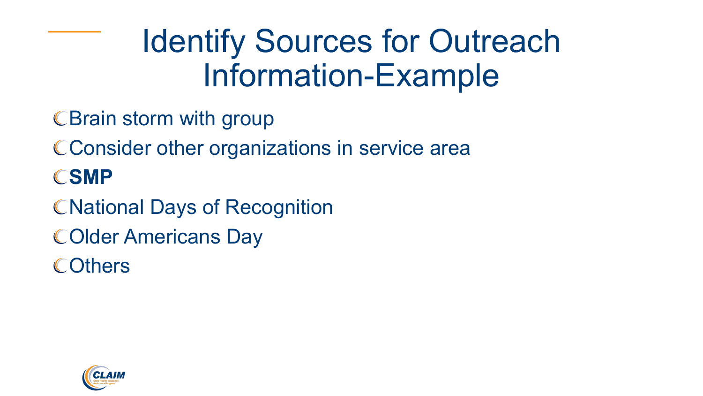### Identify Sources for Outreach Information-Example

- C Brain storm with group
- C Consider other organizations in service area
- CSMP
- **CNational Days of Recognition**
- COlder Americans Day
- **COthers**

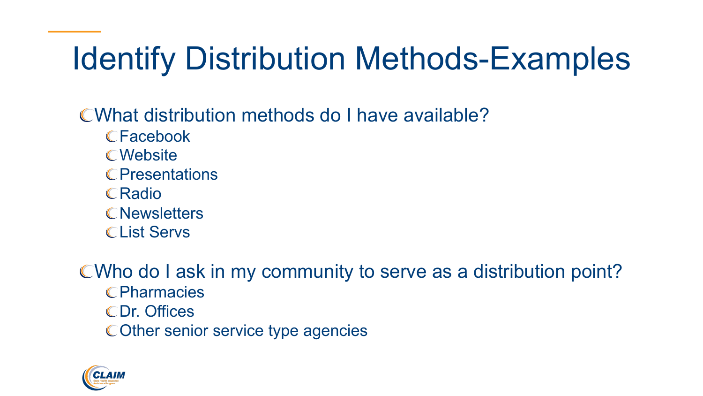## Identify Distribution Methods-Examples

What distribution methods do I have available?

- Facebook
- **CWebsite**
- **C**Presentations
- **CRadio**
- **C**Newsletters
- CList Servs

CWho do I ask in my community to serve as a distribution point? **CPharmacies** 

- Dr. Offices
- COther senior service type agencies

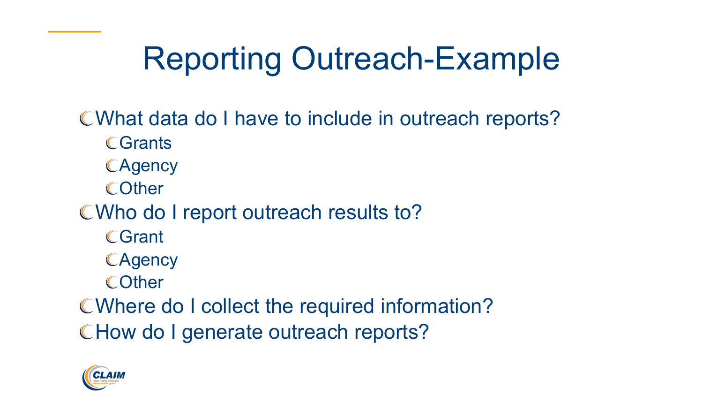## Reporting Outreach-Example

- What data do I have to include in outreach reports?
	- **CGrants**
	- **CAgency**
	- **COther**
- CWho do I report outreach results to?
	- **CGrant**
	- **CAgency**
	- **COther**
- Where do I collect the required information? CHow do I generate outreach reports?

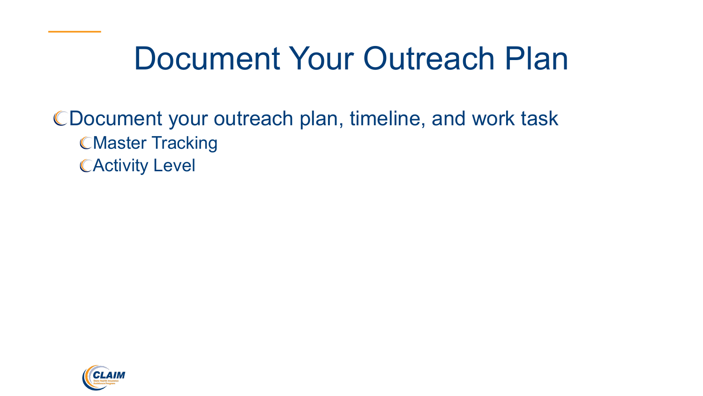#### Document Your Outreach Plan

#### Document your outreach plan, timeline, and work task **CMaster Tracking CActivity Level**

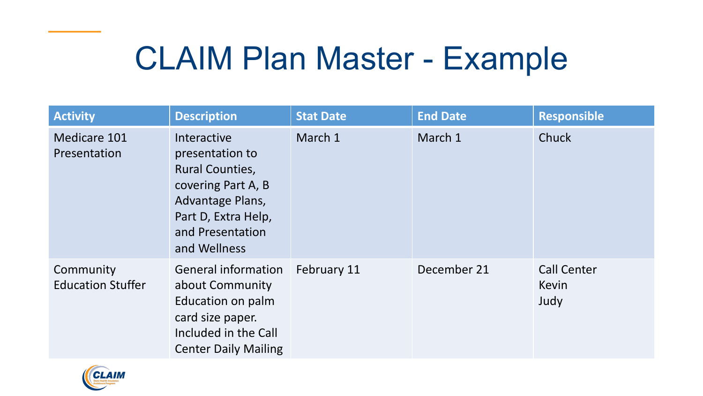### CLAIM Plan Master - Example

| <b>Activity</b>                       | <b>Description</b>                                                                                                                                            | <b>Stat Date</b> | <b>End Date</b> | <b>Responsible</b>                  |
|---------------------------------------|---------------------------------------------------------------------------------------------------------------------------------------------------------------|------------------|-----------------|-------------------------------------|
| Medicare 101<br>Presentation          | Interactive<br>presentation to<br><b>Rural Counties,</b><br>covering Part A, B<br>Advantage Plans,<br>Part D, Extra Help,<br>and Presentation<br>and Wellness | March 1          | March 1         | Chuck                               |
| Community<br><b>Education Stuffer</b> | <b>General information</b><br>about Community<br>Education on palm<br>card size paper.<br>Included in the Call<br><b>Center Daily Mailing</b>                 | February 11      | December 21     | <b>Call Center</b><br>Kevin<br>Judy |

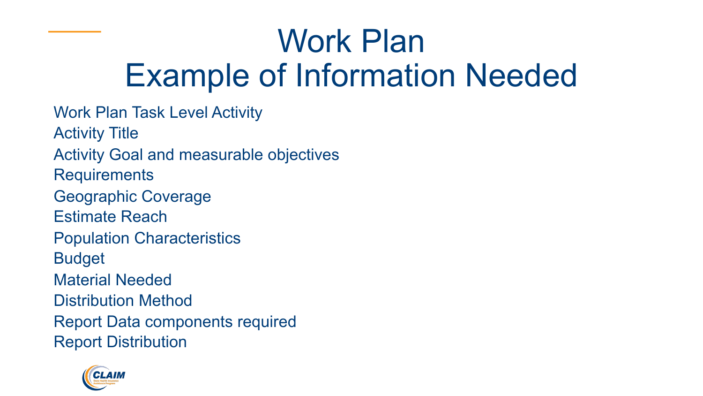## Work Plan Example of Information Needed

Work Plan Task Level Activity Activity Title Activity Goal and measurable objectives **Requirements** Geographic Coverage Estimate Reach Population Characteristics Budget Material Needed Distribution Method Report Data components required Report Distribution

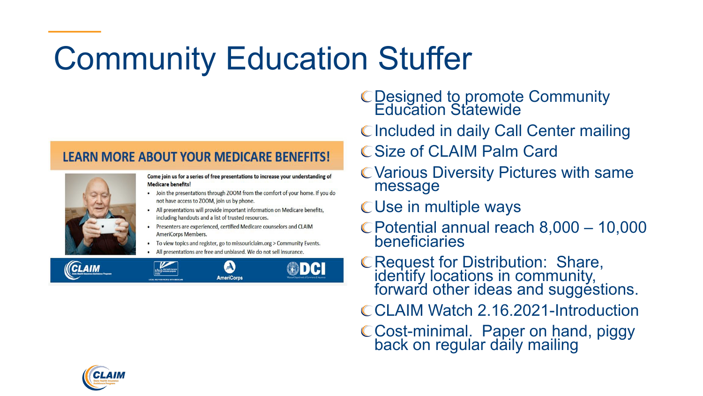### Community Education Stuffer

#### **LEARN MORE ABOUT YOUR MEDICARE BENEFITS!**



Come join us for a series of free presentations to increase your understanding of **Medicare benefits!** 

- . Join the presentations through ZOOM from the comfort of your home. If you do not have access to ZOOM, join us by phone.
- All presentations will provide important information on Medicare benefits, including handouts and a list of trusted resources.
- Presenters are experienced, certified Medicare counselors and CLAIM AmeriCorps Members.
- To view topics and register, go to missouriclaim.org > Community Events.
- All presentations are free and unbiased. We do not sell insurance.



- Designed to promote Community Education Statewide
- CIncluded in daily Call Center mailing
- C Size of CLAIM Palm Card
- Various Diversity Pictures with same message
- Use in multiple ways
- Potential annual reach 8,000 10,000 beneficiaries
- Request for Distribution: Share, identify locations in community, forward other ideas and suggestions.
- CCLAIM Watch 2.16.2021-Introduction
- Cost-minimal. Paper on hand, piggy back on regular daily mailing

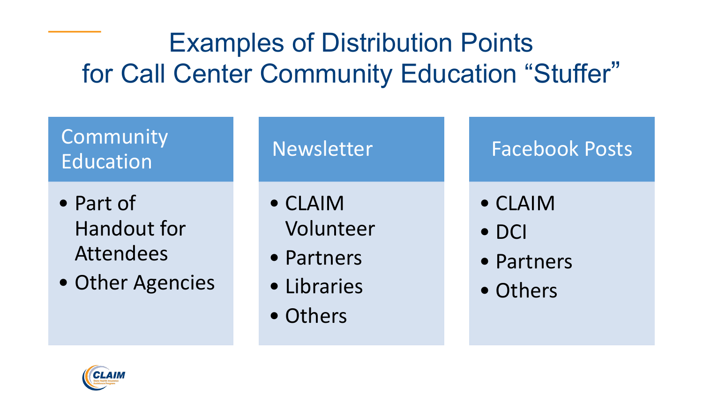#### Examples of Distribution Points for Call Center Community Education "Stuffer"

#### Community Education

- Part of Handout for Attendees
- Other Agencies

Newsletter

- CLAIM Volunteer
- Partners
- Libraries
- Others

Facebook Posts

- CLAIM
- DCI
- Partners
- Others

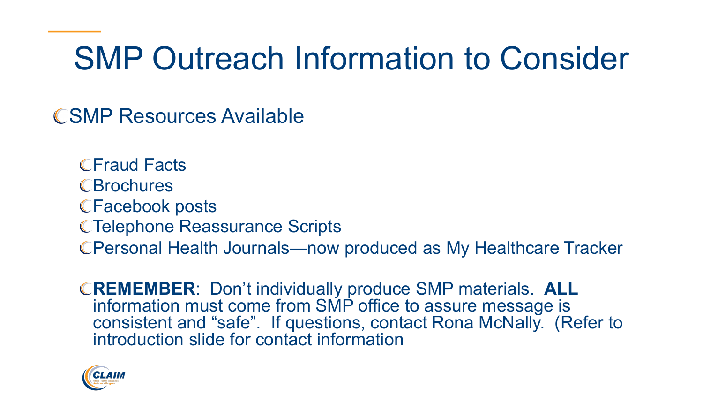### SMP Outreach Information to Consider

SMP Resources Available

**CFraud Facts CBrochures** Facebook posts Telephone Reassurance Scripts Personal Health Journals—now produced as My Healthcare Tracker

**REMEMBER**: Don't individually produce SMP materials. **ALL** information must come from SMP office to assure message is consistent and "safe". If questions, contact Rona McNally. (Refer to introduction slide for contact information

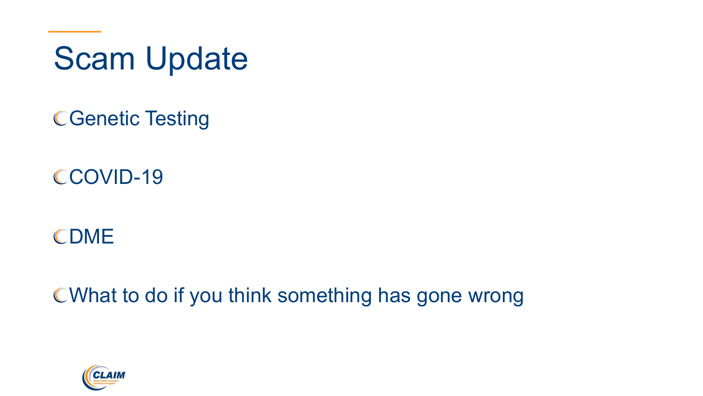Scam Update

Genetic Testing

COVID-19

CDME

What to do if you think something has gone wrong

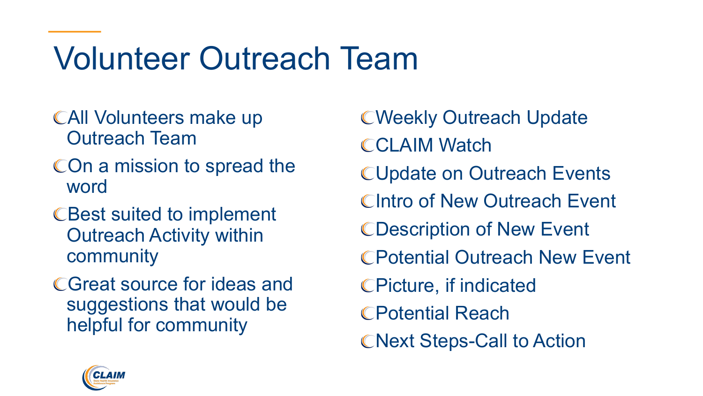## Volunteer Outreach Team

- All Volunteers make up Outreach Team
- COn a mission to spread the word
- CBest suited to implement Outreach Activity within community
- Great source for ideas and suggestions that would be helpful for community

Weekly Outreach Update **CCLAIM Watch** Update on Outreach Events CIntro of New Outreach Event Description of New Event Potential Outreach New Event Picture, if indicated Potential Reach **CNext Steps-Call to Action** 

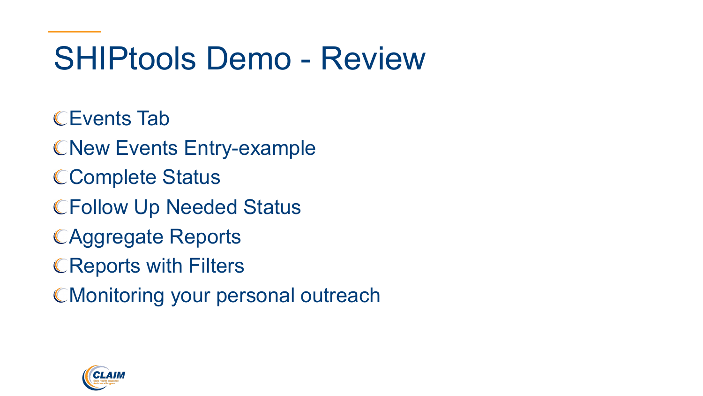### SHIPtools Demo - Review

Events Tab CNew Events Entry-example Complete Status Follow Up Needed Status Aggregate Reports **CReports with Filters** CMonitoring your personal outreach

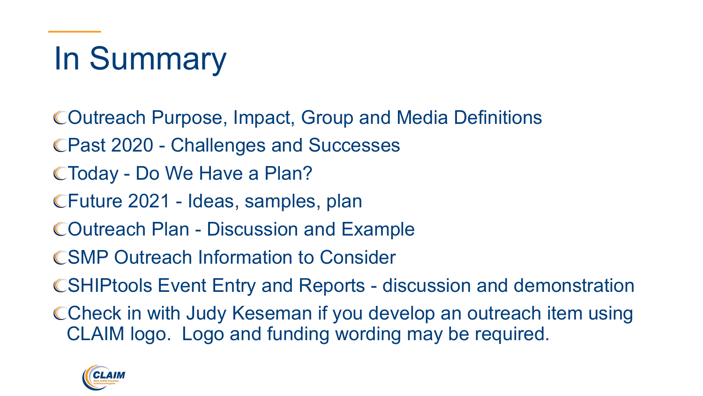# In Summary

- Outreach Purpose, Impact, Group and Media Definitions
- Past 2020 Challenges and Successes
- Today Do We Have a Plan?
- Future 2021 Ideas, samples, plan
- Outreach Plan Discussion and Example
- SMP Outreach Information to Consider
- SHIPtools Event Entry and Reports discussion and demonstration
- CCheck in with Judy Keseman if you develop an outreach item using CLAIM logo. Logo and funding wording may be required.